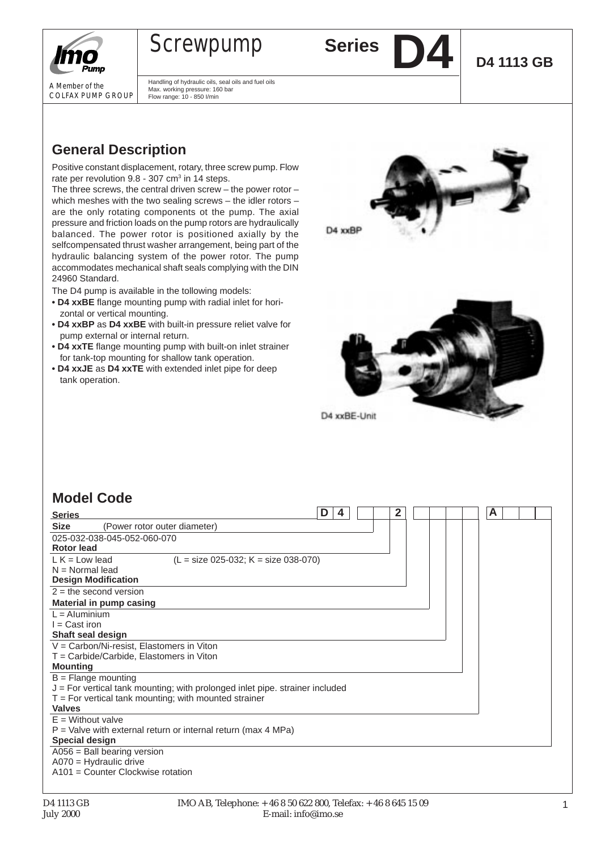

A Member of the COLFAX PUMP GROUP

# **Screwpump Series**

Max. working pressure: 160 bar Flow range: 10 - 850 I/min

Handling of hydraulic oils, seal oils and fuel oils

**D4 1113 GB**

**General Description**

Positive constant displacement, rotary, three screw pump. Flow rate per revolution  $9.8 - 307$  cm<sup>3</sup> in 14 steps.

The three screws, the central driven screw – the power rotor – which meshes with the two sealing screws – the idler rotors – are the only rotating components ot the pump. The axial pressure and friction loads on the pump rotors are hydraulically balanced. The power rotor is positioned axially by the selfcompensated thrust washer arrangement, being part of the hydraulic balancing system of the power rotor. The pump accommodates mechanical shaft seals complying with the DIN 24960 Standard.

The D4 pump is available in the tollowing models:

- **• D4 xxBE** flange mounting pump with radial inlet for horizontal or vertical mounting.
- **• D4 xxBP** as **D4 xxBE** with built-in pressure reliet valve for pump external or internal return.
- **• D4 xxTE** flange mounting pump with built-on inlet strainer for tank-top mounting for shallow tank operation.
- **• D4 xxJE** as **D4 xxTE** with extended inlet pipe for deep tank operation.





## **Model Code**

| <b>Series</b>                                                                | D<br>4 | 2 |  | A |  |
|------------------------------------------------------------------------------|--------|---|--|---|--|
| <b>Size</b><br>(Power rotor outer diameter)                                  |        |   |  |   |  |
| 025-032-038-045-052-060-070                                                  |        |   |  |   |  |
| Rotor lead                                                                   |        |   |  |   |  |
| $L K = Low lead$<br>$(L = size 025-032; K = size 038-070)$                   |        |   |  |   |  |
| $N = Normal$ lead                                                            |        |   |  |   |  |
| <b>Design Modification</b>                                                   |        |   |  |   |  |
| $2 =$ the second version                                                     |        |   |  |   |  |
| Material in pump casing                                                      |        |   |  |   |  |
| $L =$ Aluminium                                                              |        |   |  |   |  |
| $I = Cast$ iron                                                              |        |   |  |   |  |
| Shaft seal design                                                            |        |   |  |   |  |
| V = Carbon/Ni-resist, Elastomers in Viton                                    |        |   |  |   |  |
| T = Carbide/Carbide, Elastomers in Viton                                     |        |   |  |   |  |
| <b>Mounting</b>                                                              |        |   |  |   |  |
| $B =$ Flange mounting                                                        |        |   |  |   |  |
| J = For vertical tank mounting; with prolonged inlet pipe. strainer included |        |   |  |   |  |
| $T = For$ vertical tank mounting; with mounted strainer                      |        |   |  |   |  |
| <b>Valves</b>                                                                |        |   |  |   |  |
| $E =$ Without valve                                                          |        |   |  |   |  |
| $P =$ Valve with external return or internal return (max 4 MPa)              |        |   |  |   |  |
| <b>Special design</b>                                                        |        |   |  |   |  |
| $A056 =$ Ball bearing version                                                |        |   |  |   |  |
| $A070$ = Hydraulic drive                                                     |        |   |  |   |  |
| A101 = Counter Clockwise rotation                                            |        |   |  |   |  |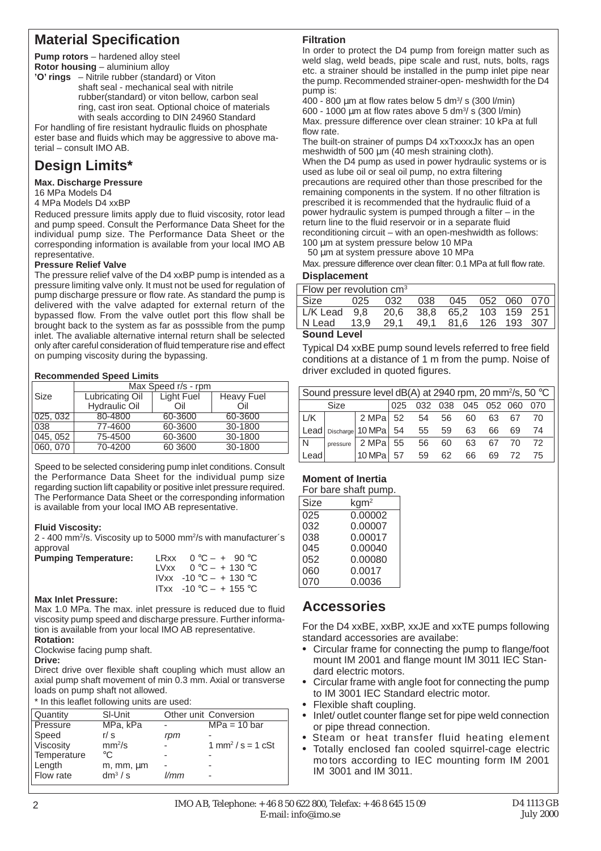## **Material Specification**

**Pump rotors** – hardened alloy steel **Rotor housing** – aluminium alloy

**'O' rings** – Nitrile rubber (standard) or Viton shaft seal - mechanical seal with nitrile rubber(standard) or viton bellow, carbon seal ring, cast iron seat. Optional choice of materials with seals according to DIN 24960 Standard

For handling of fire resistant hydraulic fluids on phosphate ester base and fluids which may be aggressive to above material – consult IMO AB.

# **Design Limits\***

#### **Max. Discharge Pressure**

16 MPa Models D4

#### 4 MPa Models D4 xxBP

Reduced pressure limits apply due to fluid viscosity, rotor lead and pump speed. Consult the Performance Data Sheet for the individual pump size. The Performance Data Sheet or the corresponding information is available from your local IMO AB representative.

#### **Pressure Relief Valve**

The pressure relief valve of the D4 xxBP pump is intended as a pressure limiting valve only. It must not be used for regulation of pump discharge pressure or flow rate. As standard the pump is delivered with the valve adapted for external return of the bypassed flow. From the valve outlet port this flow shall be brought back to the system as far as posssible from the pump inlet. The avaliable alternative internal return shall be selected only after careful consideration of fluid temperature rise and effect on pumping viscosity during the bypassing.

#### **Recommended Speed Limits**

|          | Max Speed r/s - rpm  |            |                   |  |  |  |  |  |  |  |  |
|----------|----------------------|------------|-------------------|--|--|--|--|--|--|--|--|
| Size     | Lubricating Oil      | Light Fuel | <b>Heavy Fuel</b> |  |  |  |  |  |  |  |  |
|          | <b>Hydraulic Oil</b> | Oil        | Oil               |  |  |  |  |  |  |  |  |
| 025,032  | 80-4800              | 60-3600    | 60-3600           |  |  |  |  |  |  |  |  |
| 038      | 77-4600              | 60-3600    | 30-1800           |  |  |  |  |  |  |  |  |
| 045, 052 | 75-4500              | 60-3600    | 30-1800           |  |  |  |  |  |  |  |  |
| 060, 070 | 70-4200              | 60 3600    | 30-1800           |  |  |  |  |  |  |  |  |

Speed to be selected considering pump inlet conditions. Consult the Performance Data Sheet for the individual pump size regarding suction lift capability or positive inlet pressure required. The Performance Data Sheet or the corresponding information is available from your local IMO AB representative.

#### **Fluid Viscosity:**

2 - 400 mm<sup>2</sup>/s. Viscosity up to 5000 mm<sup>2</sup>/s with manufacturer´s approval

| <b>Pumping Temperature:</b> | LRxx $0^{\circ}C - + 90^{\circ}C$  |
|-----------------------------|------------------------------------|
|                             | LVxx $0^{\circ}C - + 130^{\circ}C$ |
|                             | $Vxx -10°C - + 130°C$              |
|                             | $ITxx -10 °C - + 155 °C$           |

#### **Max Inlet Pressure:**

Max 1.0 MPa. The max. inlet pressure is reduced due to fluid viscosity pump speed and discharge pressure. Further information is available from your local IMO AB representative. **Rotation:**

Clockwise facing pump shaft.

#### **Drive:**

Direct drive over flexible shaft coupling which must allow an axial pump shaft movement of min 0.3 mm. Axial or transverse loads on pump shaft not allowed.

\* In this leaflet following units are used:

| Quantity    | SI-Unit            |      | Other unit Conversion                |
|-------------|--------------------|------|--------------------------------------|
| Pressure    | MPa, kPa           |      | $MPa = 10 bar$                       |
| Speed       | r/s                | rpm  |                                      |
| Viscosity   | mm <sup>2</sup> /s |      | $1 \text{ mm}^2 / s = 1 \text{ cSt}$ |
| Temperature | $^{\circ}C$        |      |                                      |
| Length      | m, mm, um          |      |                                      |
| Flow rate   | $dm^3/s$           | l/mm |                                      |
|             |                    |      |                                      |

### **Filtration**

In order to protect the D4 pump from foreign matter such as weld slag, weld beads, pipe scale and rust, nuts, bolts, rags etc. a strainer should be installed in the pump inlet pipe near the pump. Recommended strainer-open- meshwidth for the D4 pump is:

 $400 - 800 \mu m$  at flow rates below 5 dm<sup>3</sup>/s (300 l/min) 600 - 1000  $\mu$ m at flow rates above 5 dm<sup>3</sup>/ s (300 l/min) Max. pressure difference over clean strainer: 10 kPa at full flow rate.

The built-on strainer of pumps D4 xxTxxxxJx has an open meshwidth of 500 um (40 mesh straining cloth). When the D4 pump as used in power hydraulic systems or is used as lube oil or seal oil pump, no extra filtering precautions are required other than those prescribed for the remaining components in the system. If no other filtration is prescribed it is recommended that the hydraulic fluid of a power hydraulic system is pumped through a filter – in the return line to the fluid reservoir or in a separate fluid reconditioning circuit – with an open-meshwidth as follows: 100 µm at system pressure below 10 MPa

50 µm at system pressure above 10 MPa

Max. pressure difference over clean filter: 0.1 MPa at full flow rate. **Displacement**

| $\vert$ Flow per revolution cm <sup>3</sup>  |  |  |  |  |  |  |  |  |  |  |  |  |
|----------------------------------------------|--|--|--|--|--|--|--|--|--|--|--|--|
|                                              |  |  |  |  |  |  |  |  |  |  |  |  |
| L/K Lead 9.8 20.6 38.8 65.2 103 159 251      |  |  |  |  |  |  |  |  |  |  |  |  |
| N Lead 13.9<br>49,1 81,6 126 193 307<br>29.1 |  |  |  |  |  |  |  |  |  |  |  |  |
| Caund Lavel                                  |  |  |  |  |  |  |  |  |  |  |  |  |

#### **Sound Level**

Typical D4 xxBE pump sound levels referred to free field conditions at a distance of 1 m from the pump. Noise of driver excluded in quoted figures.

| Sound pressure level dB(A) at 2940 rpm, 20 mm <sup>2</sup> /s, 50 °C |                                                          |                                      |     |     |     |     |     |     |     |  |  |  |
|----------------------------------------------------------------------|----------------------------------------------------------|--------------------------------------|-----|-----|-----|-----|-----|-----|-----|--|--|--|
|                                                                      | Size                                                     |                                      | 025 | 032 | 038 | 045 | 052 | 060 | 070 |  |  |  |
| L/K                                                                  |                                                          | 2 MPa 52                             |     | 54  | 56  | 60  | 63  | 67  | 70  |  |  |  |
|                                                                      |                                                          | $ $ Lead $ $ Discharge 10 MPa $ $ 54 |     | 55  | 59  | 63  | 66  | 69  | 74  |  |  |  |
| N                                                                    | pressure                                                 | 2 MPa 55                             |     | 56  | 60  | 63  | 67  | 70  | 72  |  |  |  |
|                                                                      | 10 MPa<br>57<br>59<br>Lead<br>62<br>66<br>69<br>72<br>75 |                                      |     |     |     |     |     |     |     |  |  |  |

#### **Moment of Inertia**

|      | For bare shaft pump. |
|------|----------------------|
| Size | kgm <sup>2</sup>     |
| 025  | 0.00002              |
| 032  | 0.00007              |
| 038  | 0.00017              |
| 045  | 0.00040              |
| 052  | 0.00080              |
| 060  | 0.0017               |
| 070  | 0.0036               |

## **Accessories**

For the D4 xxBE, xxBP, xxJE and xxTE pumps following standard accessories are availabe:

- **•** Circular frame for connecting the pump to flange/foot mount IM 2001 and flange mount IM 3011 IEC Standard electric motors.
- **•** Circular frame with angle foot for connecting the pump to IM 3001 IEC Standard electric motor.
- **•** Flexible shaft coupling.
- **•** Inlet/ outlet counter flange set for pipe weld connection or pipe thread connection.
- **•** Steam or heat transfer fluid heating element
- **•** Totally enclosed fan cooled squirrel-cage electric mo tors according to IEC mounting form IM 2001 IM 3001 and IM 3011.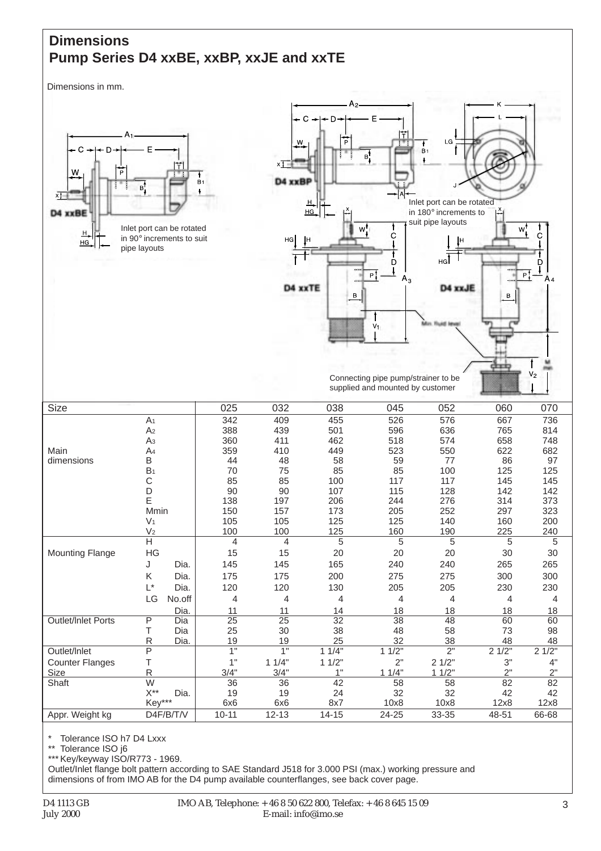## **Dimensions Pump Series D4 xxBE, xxBP, xxJE and xxTE**

Dimensions in mm.



\* Tolerance ISO h7 D4 Lxxx

Tolerance ISO j6

\*\*\* Key/keyway ISO/R773 - 1969.

Outlet/Inlet flange bolt pattern according to SAE Standard J518 for 3.000 PSI (max.) working pressure and dimensions of from IMO AB for the D4 pump available counterflanges, see back cover page.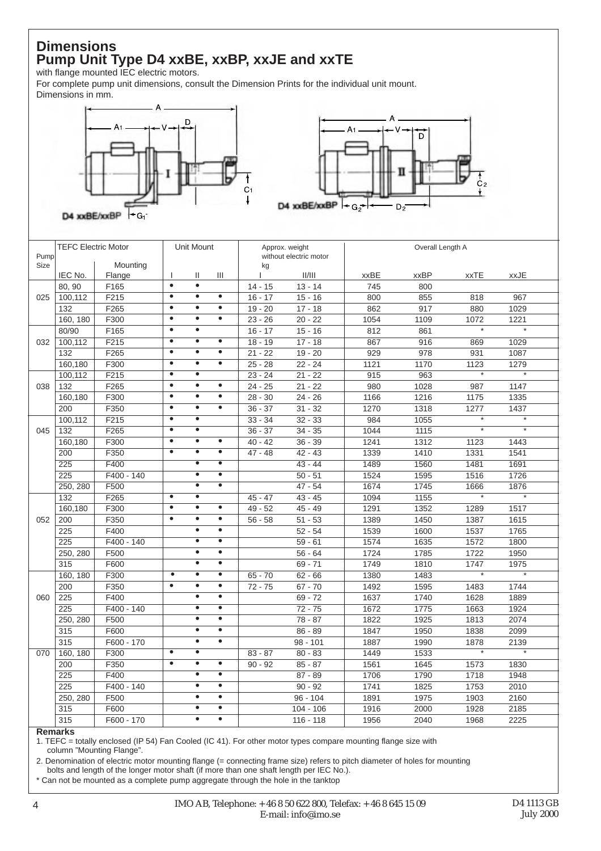## **Dimensions Pump Unit Type D4 xxBE, xxBP, xxJE and xxTE**

with flange mounted IEC electric motors.

For complete pump unit dimensions, consult the Dimension Prints for the individual unit mount. Dimensions in mm.





|      | <b>TEFC Electric Motor</b> |              |                      | Unit Mount             |                                   |           | Approx. weight         |             | Overall Length A |                   |                   |
|------|----------------------------|--------------|----------------------|------------------------|-----------------------------------|-----------|------------------------|-------------|------------------|-------------------|-------------------|
| Pump |                            |              |                      |                        |                                   |           | without electric motor |             |                  |                   |                   |
| Size |                            | Mounting     |                      |                        |                                   | kg        |                        |             |                  |                   |                   |
|      | IEC No.                    | Flange       | L<br>$\bullet$       | Ш<br>$\bullet$         | Ш                                 | L         | II/III                 | <b>xxBE</b> | <b>xxBP</b>      | <b>xxTE</b>       | xxJE              |
|      | 80, 90                     | F165         | $\bullet$            | $\bullet$              | $\bullet$                         | $14 - 15$ | $13 - 14$              | 745         | 800              |                   |                   |
| 025  | 100,112                    | F215         | $\bullet$            | $\bullet$              | $\bullet$                         | $16 - 17$ | $15 - 16$              | 800         | 855              | 818               | 967               |
|      | 132                        | F265         | $\bullet$            | $\bullet$              | $\bullet$                         | $19 - 20$ | $17 - 18$              | 862         | 917              | 880               | 1029              |
|      | 160, 180                   | F300         | $\bullet$            | $\bullet$              |                                   | $23 - 26$ | $20 - 22$              | 1054        | 1109             | 1072<br>$\star$   | 1221<br>$\star$   |
|      | 80/90                      | F165         | $\overline{\bullet}$ | $\bullet$              | $\bullet$                         | $16 - 17$ | $15 - 16$              | 812         | 861              |                   |                   |
| 032  | 100,112                    | F215         | $\bullet$            | $\bullet$              |                                   | $18 - 19$ | $17 - 18$              | 867         | 916              | 869               | 1029              |
|      | 132                        | F265         | $\overline{\bullet}$ | $\overline{\bullet}$   | $\bullet$<br>$\overline{\bullet}$ | $21 - 22$ | $19 - 20$              | 929         | 978              | 931               | 1087              |
|      | 160,180                    | F300         |                      | $\overline{\bullet}$   |                                   | $25 - 28$ | $22 - 24$              | 1121        | 1170             | 1123<br>$\ast$    | 1279<br>$^\star$  |
|      | 100,112                    | F215         | $\overline{\bullet}$ |                        |                                   | $23 - 24$ | $21 - 22$              | 915         | 963              |                   |                   |
| 038  | 132                        | F265         | $\bullet$            | $\bullet$<br>$\bullet$ | $\bullet$                         | $24 - 25$ | $21 - 22$              | 980         | 1028             | 987               | 1147              |
|      | 160,180                    | F300         | $\bullet$            |                        | $\bullet$                         | $28 - 30$ | $24 - 26$              | 1166        | 1216             | 1175              | 1335              |
|      | 200                        | F350         | $\bullet$            | $\bullet$              | $\bullet$                         | $36 - 37$ | $31 - 32$              | 1270        | 1318             | 1277              | 1437              |
|      | 100,112                    | F215         | $\overline{\bullet}$ | $\bullet$              |                                   | $33 - 34$ | $32 - 33$              | 984         | 1055             | $^\ast$           | $^\star$          |
| 045  | 132                        | F265         | $\bullet$            | $\bullet$              |                                   | $36 - 37$ | $34 - 35$              | 1044        | 1115             | $^\star$          | $\star$           |
|      | 160,180                    | F300         | $\bullet$            | $\bullet$              | $\bullet$                         | $40 - 42$ | $36 - 39$              | 1241        | 1312             | 1123              | 1443              |
|      | 200                        | F350         | $\bullet$            | $\bullet$              | $\bullet$                         | $47 - 48$ | $42 - 43$              | 1339        | 1410             | 1331              | 1541              |
|      | 225                        | F400         |                      | $\bullet$              | $\bullet$                         |           | $43 - 44$              | 1489        | 1560             | 1481              | 1691              |
|      | 225                        | F400 - 140   |                      | $\bullet$              | $\overline{\bullet}$              |           | $50 - 51$              | 1524        | 1595             | 1516              | 1726              |
|      | 250, 280                   | F500         |                      | $\bullet$              | $\overline{\bullet}$              |           | $47 - 54$              | 1674        | 1745             | 1666              | 1876              |
|      | 132                        | F265         | $\overline{\bullet}$ | $\bullet$              |                                   | $45 - 47$ | $43 - 45$              | 1094        | 1155             | $^\star$          | $\overline{\ast}$ |
|      | 160,180                    | F300         | $\bullet$            | $\bullet$              | $\bullet$                         | $49 - 52$ | $45 - 49$              | 1291        | 1352             | 1289              | 1517              |
| 052  | 200                        | F350         | $\bullet$            | $\bullet$              | $\bullet$                         | $56 - 58$ | $51 - 53$              | 1389        | 1450             | 1387              | 1615              |
|      | 225                        | F400         |                      | $\bullet$              | $\bullet$                         |           | $52 - 54$              | 1539        | 1600             | 1537              | 1765              |
|      | 225                        | F400 - 140   |                      | $\bullet$              | $\bullet$                         |           | $59 - 61$              | 1574        | 1635             | 1572              | 1800              |
|      | 250, 280                   | F500         |                      | $\bullet$              | $\bullet$                         |           | $56 - 64$              | 1724        | 1785             | 1722              | 1950              |
|      | 315                        | F600         |                      | $\bullet$              | $\bullet$                         |           | $69 - 71$              | 1749        | 1810             | 1747              | 1975              |
|      | 160, 180                   | F300         | $\bullet$            | $\bullet$              | $\bullet$                         | $65 - 70$ | $62 - 66$              | 1380        | 1483             | $\overline{\ast}$ | $\overline{\ast}$ |
|      | 200                        | F350         | $\bullet$            | $\bullet$              | $\bullet$                         | $72 - 75$ | $67 - 70$              | 1492        | 1595             | 1483              | 1744              |
| 060  | 225                        | F400         |                      | $\bullet$              | $\bullet$                         |           | $69 - 72$              | 1637        | 1740             | 1628              | 1889              |
|      | 225                        | F400 - 140   |                      | $\overline{\bullet}$   | $\overline{\bullet}$              |           | $72 - 75$              | 1672        | 1775             | 1663              | 1924              |
|      | 250, 280                   | F500         |                      | $\bullet$              | $\bullet$                         |           | 78 - 87                | 1822        | 1925             | 1813              | 2074              |
|      | 315                        | F600         |                      | $\bullet$              | $\bullet$                         |           | $86 - 89$              | 1847        | 1950             | 1838              | 2099              |
|      | 315                        | $F600 - 170$ |                      | $\bullet$              | $\bullet$                         |           | $98 - 101$             | 1887        | 1990             | 1878              | 2139              |
| 070  | 160, 180                   | F300         | $\bullet$            | $\bullet$              |                                   | $83 - 87$ | $80 - 83$              | 1449        | 1533             | $\overline{\ast}$ | $\overline{\ast}$ |
|      | 200                        | F350         | $\overline{\bullet}$ | $\bullet$              | $\bullet$                         | $90 - 92$ | $85 - 87$              | 1561        | 1645             | 1573              | 1830              |
|      | 225                        | F400         |                      | $\bullet$              | $\bullet$                         |           | $87 - 89$              | 1706        | 1790             | 1718              | 1948              |
|      | 225                        | F400 - 140   |                      | $\bullet$              | $\bullet$                         |           | $90 - 92$              | 1741        | 1825             | 1753              | 2010              |
|      | 250, 280                   | F500         |                      | $\bullet$              | $\bullet$                         |           | $96 - 104$             | 1891        | 1975             | 1903              | 2160              |
|      | 315                        | F600         |                      | $\bullet$              | $\bullet$                         |           | $104 - 106$            | 1916        | 2000             | 1928              | 2185              |
|      | 315                        | F600 - 170   |                      | $\bullet$              | $\bullet$                         |           | $116 - 118$            | 1956        | 2040             | 1968              | 2225              |

**Remarks**

1. TEFC = totally enclosed (IP 54) Fan Cooled (IC 41). For other motor types compare mounting flange size with column "Mounting Flange".

2. Denomination of electric motor mounting flange (= connecting frame size) refers to pitch diameter of holes for mounting bolts and length of the longer motor shaft (if more than one shaft length per IEC No.).

\* Can not be mounted as a complete pump aggregate through the hole in the tanktop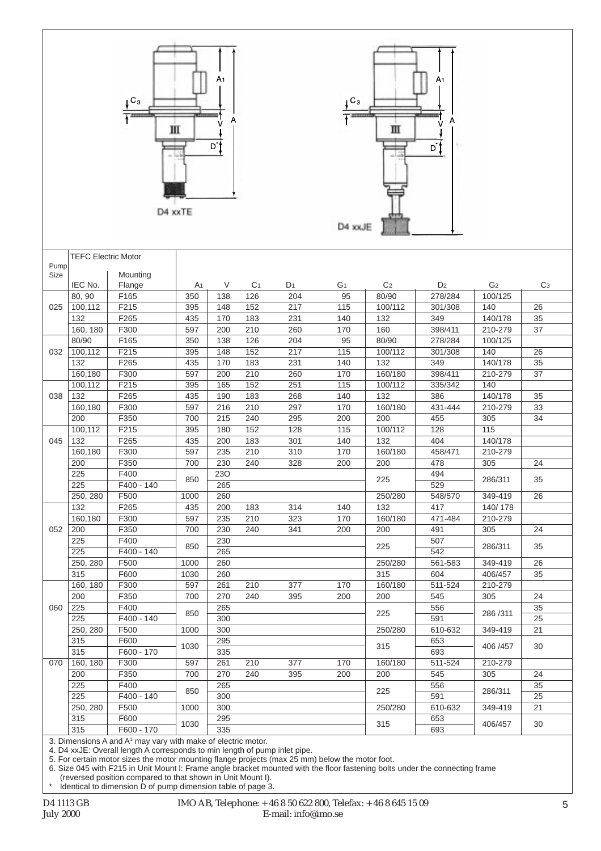|      |                            | $C_3$                                                                    | Ш<br>D4 xxTE          | A <sub>1</sub><br>Α<br>D* |                       | A <sub>1</sub><br>$C_3$<br>Ш<br>D'<br>D4 xxJE |                      |                |                |                |                |  |  |  |
|------|----------------------------|--------------------------------------------------------------------------|-----------------------|---------------------------|-----------------------|-----------------------------------------------|----------------------|----------------|----------------|----------------|----------------|--|--|--|
|      | <b>TEFC Electric Motor</b> |                                                                          |                       |                           |                       |                                               |                      |                |                |                |                |  |  |  |
| Pump |                            |                                                                          |                       |                           |                       |                                               |                      |                |                |                |                |  |  |  |
| Size |                            | Mounting<br>Flange                                                       |                       | V                         |                       |                                               |                      | C <sub>2</sub> | D <sub>2</sub> | G <sub>2</sub> | C <sub>3</sub> |  |  |  |
|      | IEC No.<br>80, 90          | F165                                                                     | A <sub>1</sub><br>350 | 138                       | C <sub>1</sub><br>126 | D1<br>204                                     | G <sub>1</sub><br>95 | 80/90          | 278/284        | 100/125        |                |  |  |  |
| 025  | 100,112                    | F215                                                                     | 395                   | 148                       | 152                   | 217                                           | 115                  | 100/112        | 301/308        | 140            | 26             |  |  |  |
|      | 132                        | F265                                                                     | 435                   | 170                       | 183                   | 231                                           | 140                  | 132            | 349            | 140/178        | 35             |  |  |  |
|      | 160, 180                   | F300                                                                     | 597                   | 200                       | 210                   | 260                                           | 170                  | 160            | 398/411        | 210-279        | 37             |  |  |  |
|      | 80/90                      | F165                                                                     | 350                   | 138                       | 126                   | 204                                           | 95                   | 80/90          | 278/284        | 100/125        |                |  |  |  |
| 032  | 100,112                    | F215                                                                     | 395                   | 148                       | 152                   | 217                                           | 115                  | 100/112        | 301/308        | 140            | 26             |  |  |  |
|      | 132                        | F265                                                                     | 435                   | 170                       | 183                   | 231                                           | 140                  | 132            | 349            | 140/178        | 35             |  |  |  |
|      | 160,180                    | F300                                                                     | 597                   | 200                       | $\overline{210}$      | 260                                           | 170                  | 160/180        | 398/411        | 210-279        | 37             |  |  |  |
|      | 100,112                    | F215                                                                     | 395                   | 165                       | 152                   | 251                                           | 115                  | 100/112        | 335/342        | 140            |                |  |  |  |
| 038  | 132                        | F265                                                                     | 435                   | 190                       | 183                   | 268                                           | 140                  | 132            | 386            | 140/178        | 35             |  |  |  |
|      | 160,180                    | F300                                                                     | 597                   | 216                       | 210                   | 297                                           | 170                  | 160/180        | 431-444        | 210-279        | 33             |  |  |  |
|      | 200                        | F350                                                                     | 700                   | 215                       | 240                   | 295                                           | 200                  | 200            | 455            | 305            | 34             |  |  |  |
|      | 100,112                    | F215                                                                     | 395                   | 180                       | 152                   | 128                                           | 115                  | 100/112        | 128            | 115            |                |  |  |  |
| 045  | 132                        | F265                                                                     | 435                   | 200                       | 183                   | 301                                           | 140                  | 132            | 404            | 140/178        |                |  |  |  |
|      | 160,180                    | F300                                                                     | 597                   | 235                       | $\overline{210}$      | 310                                           | 170                  | 160/180        | 458/471        | 210-279        |                |  |  |  |
|      | 200                        | F350                                                                     | 700                   | 230                       | 240                   | 328                                           | 200                  | 200            | 478            | 305            | 24             |  |  |  |
|      | 225                        | F400                                                                     | 850                   | 230                       |                       |                                               |                      | 225            | 494            | 286/311        | 35             |  |  |  |
|      | 225                        | F400 - 140                                                               |                       | 265                       |                       |                                               |                      |                | 529            |                |                |  |  |  |
|      | 250, 280                   | F500                                                                     | 1000                  | 260                       |                       |                                               |                      | 250/280        | 548/570        | 349-419        | 26             |  |  |  |
|      | 132                        | F265                                                                     | 435                   | 200                       | 183                   | 314                                           | 140                  | 132            | 417            | 140/178        |                |  |  |  |
|      | 160,180                    | F300                                                                     | 597                   | 235                       | 210                   | 323                                           | 170                  | 160/180        | 471-484        | 210-279        |                |  |  |  |
| 052  | 200<br>225                 | F350<br>F400                                                             | 700                   | 230                       | 240                   | 341                                           | 200                  | 200            | 491            | 305            | 24             |  |  |  |
|      | 225                        | F400 - 140                                                               | 850                   | 230<br>265                |                       |                                               |                      | 225            | 507<br>542     | 286/311        | 35             |  |  |  |
|      | 250, 280                   | F500                                                                     | 1000                  | 260                       |                       |                                               |                      | 250/280        | 561-583        | 349-419        | 26             |  |  |  |
|      | 315                        | F600                                                                     | 1030                  | 260                       |                       |                                               |                      | 315            | 604            | 406/457        | 35             |  |  |  |
|      | 160, 180                   | F300                                                                     | 597                   | 261                       | 210                   | 377                                           | 170                  | 160/180        | 511-524        | 210-279        |                |  |  |  |
|      | 200                        | F350                                                                     | 700                   | 270                       | 240                   | 395                                           | 200                  | 200            | 545            | 305            | 24             |  |  |  |
| 060  | 225                        | F400                                                                     |                       | 265                       |                       |                                               |                      |                | 556            |                | 35             |  |  |  |
|      | 225                        | F400 - 140                                                               | 850                   | 300                       |                       |                                               |                      | 225            | 591            | 286/311        | 25             |  |  |  |
|      | 250, 280                   | F500                                                                     | 1000                  | 300                       |                       |                                               |                      | 250/280        | 610-632        | 349-419        | 21             |  |  |  |
|      | 315                        | F600                                                                     |                       | 295                       |                       |                                               |                      |                | 653            |                |                |  |  |  |
|      | 315                        | F600 - 170                                                               | 1030                  | 335                       |                       |                                               |                      | 315            | 693            | 406 / 457      | 30             |  |  |  |
| 070  | 160, 180                   | F300                                                                     | 597                   | 261                       | 210                   | 377                                           | 170                  | 160/180        | 511-524        | 210-279        |                |  |  |  |
|      | 200                        | F350                                                                     | 700                   | 270                       | 240                   | 395                                           | 200                  | 200            | 545            | 305            | 24             |  |  |  |
|      | 225                        | F400                                                                     | 850                   | 265                       |                       |                                               |                      | 225            | 556            | 286/311        | 35             |  |  |  |
|      | 225                        | F400 - 140                                                               |                       | 300                       |                       |                                               |                      |                | 591            |                | 25             |  |  |  |
|      | 250, 280                   | F500                                                                     | 1000                  | 300                       |                       |                                               |                      | 250/280        | 610-632        | 349-419        | 21             |  |  |  |
|      | 315                        | F600                                                                     | 1030                  | 295                       |                       |                                               |                      | 315            | 653            | 406/457        | 30             |  |  |  |
|      | 315                        | F600 - 170                                                               |                       | 335                       |                       |                                               |                      |                | 693            |                |                |  |  |  |
|      |                            | 3. Dimensions A and A <sup>1</sup> may vary with make of electric motor. |                       |                           |                       |                                               |                      |                |                |                |                |  |  |  |

4. D4 xxJE: Overall length A corresponds to min length of pump inlet pipe.

5. For certain motor sizes the motor mounting flange projects (max 25 mm) below the motor foot.

6. Size 045 with F215 in Unit Mount l: Frame angle bracket mounted with the floor fastening bolts under the connecting frame (reversed position compared to that shown in Unit Mount I).

\* Identical to dimension D of pump dimension table of page 3.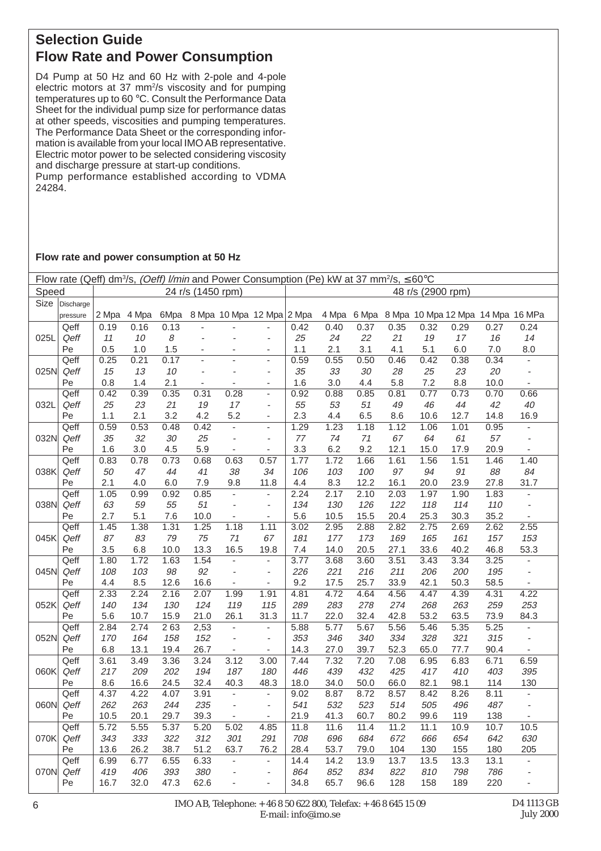## **Selection Guide Flow Rate and Power Consumption**

D4 Pump at 50 Hz and 60 Hz with 2-pole and 4-pole electric motors at 37 mm<sup>2</sup>/s viscosity and for pumping temperatures up to 60 °C. Consult the Performance Data Sheet for the individual pump size for performance datas at other speeds, viscosities and pumping temperatures. The Performance Data Sheet or the corresponding information is available from your local IMO AB representative. Electric motor power to be selected considering viscosity and discharge pressure at start-up conditions.

Pump performance established according to VDMA 24284.

#### **Flow rate and power consumption at 50 Hz**

|       | Flow rate (Qeff) dm <sup>3</sup> /s, (Oeff) <i>l/min</i> and Power Consumption (Pe) kW at 37 mm <sup>2</sup> /s, $\leq 60^{\circ}$ C |       |       |      |                   |                          |                           |                   |       |      |      |      |      |                                         |                              |
|-------|--------------------------------------------------------------------------------------------------------------------------------------|-------|-------|------|-------------------|--------------------------|---------------------------|-------------------|-------|------|------|------|------|-----------------------------------------|------------------------------|
| Speed |                                                                                                                                      |       |       |      | 24 r/s (1450 rpm) |                          |                           | 48 r/s (2900 rpm) |       |      |      |      |      |                                         |                              |
|       | Size Discharge                                                                                                                       |       |       |      |                   |                          |                           |                   |       |      |      |      |      |                                         |                              |
|       | pressure                                                                                                                             | 2 Mpa | 4 Mpa | 6Mpa |                   |                          | 8 Mpa 10 Mpa 12 Mpa 2 Mpa |                   | 4 Mpa |      |      |      |      | 6 Mpa 8 Mpa 10 Mpa 12 Mpa 14 Mpa 16 MPa |                              |
|       | Qeff                                                                                                                                 | 0.19  | 0.16  | 0.13 |                   |                          |                           | 0.42              | 0.40  | 0.37 | 0.35 | 0.32 | 0.29 | 0.27                                    | 0.24                         |
| 025L  | Qeff                                                                                                                                 | 11    | 10    | 8    |                   | L,                       | $\overline{a}$            | 25                | 24    | 22   | 21   | 19   | 17   | 16                                      | 14                           |
|       | Pe                                                                                                                                   | 0.5   | 1.0   | 1.5  |                   |                          | $\overline{\phantom{a}}$  | 1.1               | 2.1   | 3.1  | 4.1  | 5.1  | 6.0  | $7.0$                                   | 8.0                          |
|       | Qeff                                                                                                                                 | 0.25  | 0.21  | 0.17 |                   |                          | $\overline{a}$            | 0.59              | 0.55  | 0.50 | 0.46 | 0.42 | 0.38 | 0.34                                    | ÷,                           |
| 025N  | Qeff                                                                                                                                 | 15    | 13    | 10   | ÷,                | ÷,                       | ÷,                        | 35                | 33    | 30   | 28   | 25   | 23   | 20                                      | $\overline{\phantom{a}}$     |
|       | Pe                                                                                                                                   | 0.8   | 1.4   | 2.1  | ÷,                | ÷,                       | L,                        | 1.6               | 3.0   | 4.4  | 5.8  | 7.2  | 8.8  | 10.0                                    | $\overline{\phantom{a}}$     |
|       | Qeff                                                                                                                                 | 0.42  | 0.39  | 0.35 | 0.31              | 0.28                     | L,                        | 0.92              | 0.88  | 0.85 | 0.81 | 0.77 | 0.73 | 0.70                                    | 0.66                         |
| 032L  | Qeff                                                                                                                                 | 25    | 23    | 21   | 19                | 17                       | $\overline{\phantom{a}}$  | 55                | 53    | 51   | 49   | 46   | 44   | 42                                      | 40                           |
|       | Pe                                                                                                                                   | 1.1   | 2.1   | 3.2  | 4.2               | 5.2                      | $\blacksquare$            | 2.3               | 4.4   | 6.5  | 8.6  | 10.6 | 12.7 | 14.8                                    | 16.9                         |
|       | Qeff                                                                                                                                 | 0.59  | 0.53  | 0.48 | 0.42              | ÷.                       | ä,                        | 1.29              | 1.23  | 1.18 | 1.12 | 1.06 | 1.01 | 0.95                                    | ÷,                           |
| 032N  | Qeff                                                                                                                                 | 35    | 32    | 30   | 25                | ÷,                       | ÷,                        | 77                | 74    | $71$ | 67   | 64   | 61   | 57                                      | $\overline{\phantom{a}}$     |
|       | Pe                                                                                                                                   | 1.6   | 3.0   | 4.5  | 5.9               | $\omega$                 | $\blacksquare$            | 3.3               | 6.2   | 9.2  | 12.1 | 15.0 | 17.9 | 20.9                                    | ä,                           |
|       | Qeff                                                                                                                                 | 0.83  | 0.78  | 0.73 | 0.68              | 0.63                     | 0.57                      | 1.77              | 1.72  | 1.66 | 1.61 | 1.56 | 1.51 | 1.46                                    | 1.40                         |
| 038K  | Qeff                                                                                                                                 | 50    | 47    | 44   | 41                | 38                       | 34                        | 106               | 103   | 100  | 97   | 94   | 91   | 88                                      | 84                           |
|       | $_{\rm Pe}$                                                                                                                          | 2.1   | 4.0   | 6.0  | 7.9               | 9.8                      | 11.8                      | 4.4               | 8.3   | 12.2 | 16.1 | 20.0 | 23.9 | 27.8                                    | 31.7                         |
|       | Qeff                                                                                                                                 | 1.05  | 0.99  | 0.92 | 0.85              | ä,                       | ä,                        | 2.24              | 2.17  | 2.10 | 2.03 | 1.97 | 1.90 | 1.83                                    | $\overline{\phantom{a}}$     |
| 038N  | Qeff                                                                                                                                 | 63    | 59    | 55   | 51                | ÷,                       | $\overline{\phantom{a}}$  | 134               | 130   | 126  | 122  | 118  | 114  | 110                                     | $\omega$                     |
|       | Pe                                                                                                                                   | 2.7   | 5.1   | 7.6  | 10.0              | ä,                       | ÷,                        | 5.6               | 10.5  | 15.5 | 20.4 | 25.3 | 30.3 | 35.2                                    | $\overline{\phantom{a}}$     |
|       | Qeff                                                                                                                                 | 1.45  | 1.38  | 1.31 | 1.25              | 1.18                     | 1.11                      | 3.02              | 2.95  | 2.88 | 2.82 | 2.75 | 2.69 | 2.62                                    | 2.55                         |
| 045K  | Qeff                                                                                                                                 | 87    | 83    | 79   | 75                | 71                       | 67                        | 181               | 177   | 173  | 169  | 165  | 161  | 157                                     | 153                          |
|       | Pe                                                                                                                                   | 3.5   | 6.8   | 10.0 | 13.3              | 16.5                     | 19.8                      | 7.4               | 14.0  | 20.5 | 27.1 | 33.6 | 40.2 | 46.8                                    | 53.3                         |
|       | Qeff                                                                                                                                 | 1.80  | 1.72  | 1.63 | 1.54              | $\overline{\phantom{a}}$ | $\overline{\phantom{a}}$  | 3.77              | 3.68  | 3.60 | 3.51 | 3.43 | 3.34 | 3.25                                    | $\overline{\phantom{a}}$     |
| 045N  | Qeff                                                                                                                                 | 108   | 103   | 98   | 92                | $\overline{\phantom{a}}$ | $\overline{\phantom{a}}$  | 226               | 221   | 216  | 211  | 206  | 200  | 195                                     | $\overline{\phantom{a}}$     |
|       | Pe                                                                                                                                   | 4.4   | 8.5   | 12.6 | 16.6              | ÷,                       | ÷,                        | 9.2               | 17.5  | 25.7 | 33.9 | 42.1 | 50.3 | 58.5                                    | ÷,                           |
|       | Qeff                                                                                                                                 | 2.33  | 2.24  | 2.16 | 2.07              | 1.99                     | 1.91                      | 4.81              | 4.72  | 4.64 | 4.56 | 4.47 | 4.39 | 4.31                                    | 4.22                         |
| 052K  | Qeff                                                                                                                                 | 140   | 134   | 130  | 124               | 119                      | 115                       | 289               | 283   | 278  | 274  | 268  | 263  | 259                                     | 253                          |
|       | Pe                                                                                                                                   | 5.6   | 10.7  | 15.9 | 21.0              | 26.1                     | 31.3                      | 11.7              | 22.0  | 32.4 | 42.8 | 53.2 | 63.5 | 73.9                                    | 84.3                         |
|       | Qeff                                                                                                                                 | 2.84  | 2.74  | 263  | 2,53              | $\omega$                 | $\blacksquare$            | 5.88              | 5.77  | 5.67 | 5.56 | 5.46 | 5.35 | 5.25                                    | ÷,                           |
| 052N  | Qeff                                                                                                                                 | 170   | 164   | 158  | 152               | $\overline{\phantom{a}}$ | $\overline{\phantom{a}}$  | 353               | 346   | 340  | 334  | 328  | 321  | 315                                     | $\overline{\phantom{a}}$     |
|       | Pe                                                                                                                                   | 6.8   | 13.1  | 19.4 | 26.7              | $\blacksquare$           | $\overline{\phantom{a}}$  | 14.3              | 27.0  | 39.7 | 52.3 | 65.0 | 77.7 | 90.4                                    | $\qquad \qquad \blacksquare$ |
|       | Qeff                                                                                                                                 | 3.61  | 3.49  | 3.36 | 3.24              | 3.12                     | 3.00                      | 7.44              | 7.32  | 7.20 | 7.08 | 6.95 | 6.83 | 6.71                                    | 6.59                         |
| 060K  | Qeff                                                                                                                                 | 217   | 209   | 202  | 194               | 187                      | 180                       | 446               | 439   | 432  | 425  | 417  | 410  | 403                                     | 395                          |
|       | Pe                                                                                                                                   | 8.6   | 16.6  | 24.5 | 32.4              | 40.3                     | 48.3                      | 18.0              | 34.0  | 50.0 | 66.0 | 82.1 | 98.1 | 114                                     | 130                          |
|       | Qeff                                                                                                                                 | 4.37  | 4.22  | 4.07 | 3.91              | ä,                       | ä,                        | 9.02              | 8.87  | 8.72 | 8.57 | 8.42 | 8.26 | 8.11                                    | ÷,                           |
| 060N  | Qeff                                                                                                                                 | 262   | 263   | 244  | 235               | $\overline{\phantom{a}}$ | $\overline{\phantom{a}}$  | 541               | 532   | 523  | 514  | 505  | 496  | 487                                     | $\overline{\phantom{a}}$     |
|       | Pe                                                                                                                                   | 10.5  | 20.1  | 29.7 | 39.3              | $\blacksquare$           | ä,                        | 21.9              | 41.3  | 60.7 | 80.2 | 99.6 | 119  | 138                                     |                              |
|       | Qeff                                                                                                                                 | 5.72  | 5.55  | 5.37 | 5.20              | 5.02                     | 4.85                      | 11.8              | 11.6  | 11.4 | 11.2 | 11.1 | 10.9 | 10.7                                    | 10.5                         |
| 070K  | Qeff                                                                                                                                 | 343   | 333   | 322  | 312               | 301                      | 291                       | 708               | 696   | 684  | 672  | 666  | 654  | 642                                     | 630                          |
|       | Pe                                                                                                                                   | 13.6  | 26.2  | 38.7 | 51.2              | 63.7                     | 76.2                      | 28.4              | 53.7  | 79.0 | 104  | 130  | 155  | 180                                     | 205                          |
|       | Qeff                                                                                                                                 | 6.99  | 6.77  | 6.55 | 6.33              | $\overline{\phantom{a}}$ | $\overline{\phantom{a}}$  | 14.4              | 14.2  | 13.9 | 13.7 | 13.5 | 13.3 | 13.1                                    | ÷,                           |
| 070N  | Qeff                                                                                                                                 | 419   | 406   | 393  | 380               | ÷,                       | $\overline{\phantom{a}}$  | 864               | 852   | 834  | 822  | 810  | 798  | 786                                     |                              |
|       | Pe                                                                                                                                   | 16.7  | 32.0  | 47.3 | 62.6              | L,                       | ä,                        | 34.8              | 65.7  | 96.6 | 128  | 158  | 189  | 220                                     | ÷,                           |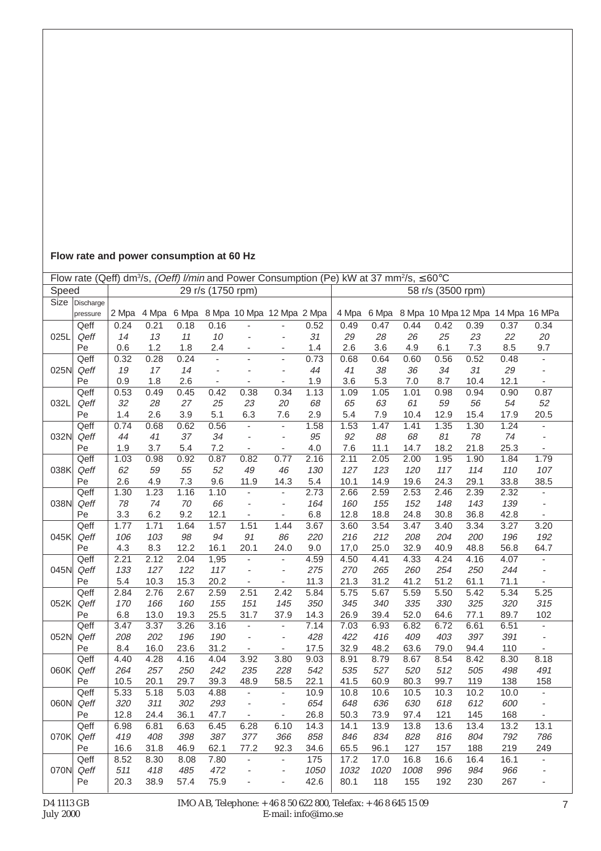## **Flow rate and power consumption at 60 Hz**

|       | Flow rate (Qeff) dm <sup>3</sup> /s, (Oeff) l/min and Power Consumption (Pe) kW at 37 mm <sup>2</sup> /s, $\leq 60^{\circ}$ C |       |      |        |                          |                                       |                              |      |      |      |      |                   |      |                                               |                          |
|-------|-------------------------------------------------------------------------------------------------------------------------------|-------|------|--------|--------------------------|---------------------------------------|------------------------------|------|------|------|------|-------------------|------|-----------------------------------------------|--------------------------|
| Speed |                                                                                                                               |       |      |        | 29 r/s (1750 rpm)        |                                       |                              |      |      |      |      | 58 r/s (3500 rpm) |      |                                               |                          |
| Size  | Discharge                                                                                                                     |       |      |        |                          |                                       |                              |      |      |      |      |                   |      |                                               |                          |
|       | pressure                                                                                                                      | 2 Mpa |      |        |                          | 4 Mpa 6 Mpa 8 Mpa 10 Mpa 12 Mpa 2 Mpa |                              |      |      |      |      |                   |      | 4 Mpa 6 Mpa 8 Mpa 10 Mpa 12 Mpa 14 Mpa 16 MPa |                          |
|       | Qeff                                                                                                                          | 0.24  | 0.21 | 0.18   | 0.16                     |                                       |                              | 0.52 | 0.49 | 0.47 | 0.44 | 0.42              | 0.39 | 0.37                                          | 0.34                     |
| 025L  | Qeff                                                                                                                          | 14    | 13   | 11     | 10                       | $\overline{\phantom{a}}$              | $\qquad \qquad \blacksquare$ | 31   | 29   | 28   | 26   | 25                | 23   | 22                                            | 20                       |
|       | Pe                                                                                                                            | 0.6   | 1.2  | 1.8    | 2.4                      | $\overline{a}$                        | ä,                           | 1.4  | 2.6  | 3.6  | 4.9  | 6.1               | 7.3  | 8.5                                           | 9.7                      |
|       | Qeff                                                                                                                          | 0.32  | 0.28 | 0.24   | ÷,                       | ä,                                    | L.                           | 0.73 | 0.68 | 0.64 | 0.60 | 0.56              | 0.52 | 0.48                                          | $\mathbb{Z}^+$           |
| 025N  | Qeff                                                                                                                          | 19    | 17   | 14     | ÷,                       |                                       | ÷,                           | 44   | 41   | 38   | 36   | 34                | 31   | 29                                            | $\overline{\phantom{a}}$ |
|       | Pe                                                                                                                            | 0.9   | 1.8  | 2.6    | $\overline{\phantom{a}}$ |                                       | ÷,                           | 1.9  | 3.6  | 5.3  | 7.0  | 8.7               | 10.4 | 12.1                                          | ÷,                       |
|       | Qeff                                                                                                                          | 0.53  | 0.49 | 0.45   | 0.42                     | 0.38                                  | 0.34                         | 1.13 | 1.09 | 1.05 | 1.01 | 0.98              | 0.94 | 0.90                                          | 0.87                     |
| 032L  | Qeff                                                                                                                          | 32    | 28   | 27     | 25                       | 23                                    | $20\,$                       | 68   | 65   | 63   | 61   | 59                | 56   | 54                                            | 52                       |
|       | Pe                                                                                                                            | 1.4   | 2.6  | 3.9    | 5.1                      | 6.3                                   | 7.6                          | 2.9  | 5.4  | 7.9  | 10.4 | 12.9              | 15.4 | 17.9                                          | 20.5                     |
|       | Qeff                                                                                                                          | 0.74  | 0.68 | 0.62   | 0.56                     | ÷,                                    | $\overline{a}$               | 1.58 | 1.53 | 1.47 | 1.41 | 1.35              | 1.30 | 1.24                                          | $\overline{\phantom{a}}$ |
| 032N  | Qeff                                                                                                                          | 44    | 41   | 37     | 34                       | ä,                                    | ÷,                           | 95   | 92   | 88   | 68   | 81                | 78   | 74                                            | $\overline{\phantom{a}}$ |
|       | Pe                                                                                                                            | 1.9   | 3.7  | 5.4    | 7.2                      | $\blacksquare$                        | L,                           | 4.0  | 7.6  | 11.1 | 14.7 | 18.2              | 21.8 | 25.3                                          | $\blacksquare$           |
|       | Qeff                                                                                                                          | 1.03  | 0.98 | 0.92   | 0.87                     | 0.82                                  | 0.77                         | 2.16 | 2.11 | 2.05 | 2.00 | 1.95              | 1.90 | 1.84                                          | 1.79                     |
| 038K  | Qeff                                                                                                                          | 62    | 59   | 55     | 52                       | 49                                    | 46                           | 130  | 127  | 123  | 120  | 117               | 114  | 110                                           | 107                      |
|       | Pe                                                                                                                            | 2.6   | 4.9  | 7.3    | 9.6                      | 11.9                                  | 14.3                         | 5.4  | 10.1 | 14.9 | 19.6 | 24.3              | 29.1 | 33.8                                          | 38.5                     |
|       | Qeff                                                                                                                          | 1.30  | 1.23 | 1.16   | 1.10                     | ÷,                                    | $\overline{a}$               | 2.73 | 2.66 | 2.59 | 2.53 | 2.46              | 2.39 | 2.32                                          | $\blacksquare$           |
| 038N  | Qeff                                                                                                                          | 78    | $74$ | $70\,$ | 66                       | $\overline{\phantom{a}}$              | l,                           | 164  | 160  | 155  | 152  | 148               | 143  | 139                                           | $\blacksquare$           |
|       | Pe                                                                                                                            | 3.3   | 6.2  | 9.2    | 12.1                     | $\overline{\phantom{a}}$              | ä,                           | 6.8  | 12.8 | 18.8 | 24.8 | 30.8              | 36.8 | 42.8                                          | ÷,                       |
|       | Qeff                                                                                                                          | 1.77  | 1.71 | 1.64   | 1.57                     | 1.51                                  | 1.44                         | 3.67 | 3.60 | 3.54 | 3.47 | 3.40              | 3.34 | 3.27                                          | 3.20                     |
| 045K  | Qeff                                                                                                                          | 106   | 103  | 98     | 94                       | 91                                    | 86                           | 220  | 216  | 212  | 208  | 204               | 200  | 196                                           | 192                      |
|       | Pe                                                                                                                            | 4.3   | 8.3  | 12.2   | 16.1                     | 20.1                                  | 24.0                         | 9.0  | 17,0 | 25.0 | 32.9 | 40.9              | 48.8 | 56.8                                          | 64.7                     |
|       | Qeff                                                                                                                          | 2.21  | 2.12 | 2.04   | 1,95                     | $\blacksquare$                        | ÷,                           | 4.59 | 4.50 | 4.41 | 4.33 | 4.24              | 4.16 | 4.07                                          | $\overline{\phantom{a}}$ |
| 045N  | Qeff                                                                                                                          | 133   | 127  | 122    | 117                      | $\overline{\phantom{a}}$              | ÷,                           | 275  | 270  | 265  | 260  | 254               | 250  | 244                                           | $\overline{\phantom{a}}$ |
|       | Pe                                                                                                                            | 5.4   | 10.3 | 15.3   | 20.2                     | $\blacksquare$                        | ÷,                           | 11.3 | 21.3 | 31.2 | 41.2 | 51.2              | 61.1 | 71.1                                          | $\blacksquare$           |
|       | Qeff                                                                                                                          | 2.84  | 2.76 | 2.67   | 2.59                     | 2.51                                  | 2.42                         | 5.84 | 5.75 | 5.67 | 5.59 | 5.50              | 5.42 | 5.34                                          | 5.25                     |
| 052K  | Qeff                                                                                                                          | 170   | 166  | 160    | 155                      | 151                                   | 145                          | 350  | 345  | 340  | 335  | 330               | 325  | 320                                           | 315                      |
|       | Pe                                                                                                                            | 6.8   | 13.0 | 19.3   | 25.5                     | 31.7                                  | 37.9                         | 14.3 | 26.9 | 39.4 | 52.0 | 64.6              | 77.1 | 89.7                                          | 102                      |
|       | Qeff                                                                                                                          | 3.47  | 3.37 | 3.26   | 3.16                     | $\mathbf{r}$                          | $\overline{a}$               | 7.14 | 7.03 | 6.93 | 6.82 | 6.72              | 6.61 | 6.51                                          | $\blacksquare$           |
| 052N  | Qeff                                                                                                                          | 208   | 202  | 196    | 190                      | $\overline{\phantom{a}}$              | $\overline{\phantom{a}}$     | 428  | 422  | 416  | 409  | 403               | 397  | 391                                           | $\overline{\phantom{a}}$ |
|       | Pe                                                                                                                            | 8.4   | 16.0 | 23.6   | 31.2                     | $\blacksquare$                        | ÷,                           | 17.5 | 32.9 | 48.2 | 63.6 | 79.0              | 94.4 | 110                                           |                          |
|       | Qeff                                                                                                                          | 4.40  | 4.28 | 4.16   | 4.04                     | 3.92                                  | 3.80                         | 9.03 | 8.91 | 8.79 | 8.67 | 8.54              | 8.42 | 8.30                                          | 8.18                     |
| 060K  | Qeff                                                                                                                          | 264   | 257  | 250    | 242                      | 235                                   | 228                          | 542  | 535  | 527  | 520  | 512               | 505  | 498                                           | 491                      |
|       | Pe                                                                                                                            | 10.5  | 20.1 | 29.7   | 39.3                     | 48.9                                  | 58.5                         | 22.1 | 41.5 | 60.9 | 80.3 | 99.7              | 119  | 138                                           | 158                      |
|       | Qeff                                                                                                                          | 5.33  | 5.18 | 5.03   | 4.88                     | $\blacksquare$                        | $\frac{1}{2}$                | 10.9 | 10.8 | 10.6 | 10.5 | 10.3              | 10.2 | 10.0                                          | $\overline{\phantom{a}}$ |
| 060N  | Qeff                                                                                                                          | 320   | 311  | 302    | 293                      | $\overline{\phantom{a}}$              | ÷,                           | 654  | 648  | 636  | 630  | 618               | 612  | 600                                           | $\bar{a}$                |
|       | Pe                                                                                                                            | 12.8  | 24.4 | 36.1   | 47.7                     | $\blacksquare$                        | $\blacksquare$               | 26.8 | 50.3 | 73.9 | 97.4 | 121               | 145  | 168                                           | $\overline{\phantom{a}}$ |
|       | Qeff                                                                                                                          | 6.98  | 6.81 | 6.63   | 6.45                     | 6.28                                  | 6.10                         | 14.3 | 14.1 | 13.9 | 13.8 | 13.6              | 13.4 | 13.2                                          | 13.1                     |
| 070K  | Qeff                                                                                                                          | 419   | 408  | 398    | 387                      | 377                                   | 366                          | 858  | 846  | 834  | 828  | 816               | 804  | 792                                           | 786                      |
|       | Pe                                                                                                                            | 16.6  | 31.8 | 46.9   | 62.1                     | 77.2                                  | 92.3                         | 34.6 | 65.5 | 96.1 | 127  | 157               | 188  | 219                                           | 249                      |
|       | Qeff                                                                                                                          | 8.52  | 8.30 | 8.08   | 7.80                     | ä,                                    | ÷,                           | 175  | 17.2 | 17.0 | 16.8 | 16.6              | 16.4 | 16.1                                          |                          |
| 070N  | Qeff                                                                                                                          | 511   | 418  | 485    | 472                      | $\overline{a}$                        | $\overline{\phantom{a}}$     | 1050 | 1032 | 1020 | 1008 | 996               | 984  | 966                                           | $\overline{\phantom{a}}$ |
|       | Pe                                                                                                                            | 20.3  | 38.9 | 57.4   | 75.9                     |                                       |                              | 42.6 | 80.1 | 118  | 155  | 192               | 230  | 267                                           |                          |